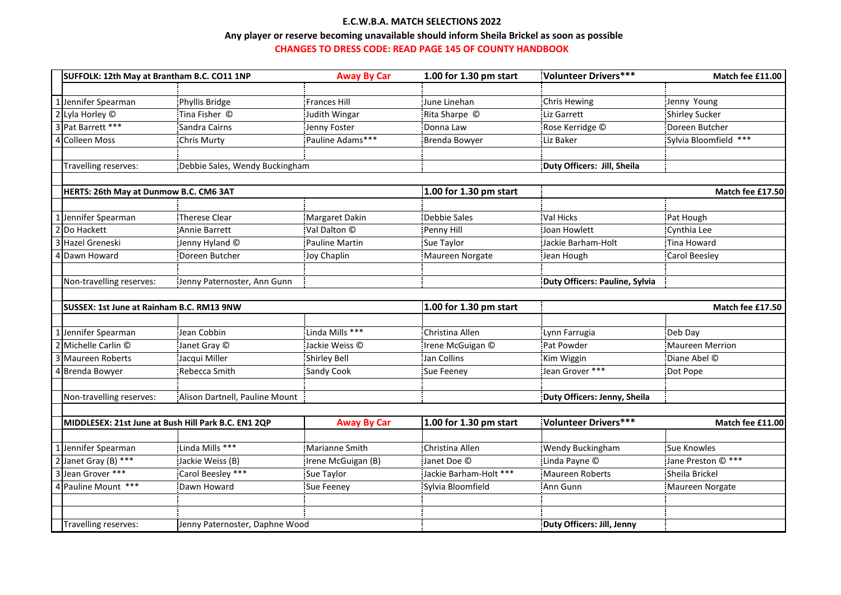## **E.C.W.B.A. MATCH SELECTIONS 2022**

## **Any player or reserve becoming unavailable should inform Sheila Brickel as soon as possible CHANGES TO DRESS CODE: READ PAGE 145 OF COUNTY HANDBOOK**

| SUFFOLK: 12th May at Brantham B.C. CO11 1NP         |                                | <b>Away By Car</b>  | 1.00 for 1.30 pm start | Volunteer Drivers***           | Match fee £11.00      |
|-----------------------------------------------------|--------------------------------|---------------------|------------------------|--------------------------------|-----------------------|
|                                                     |                                |                     |                        |                                |                       |
| 1 Jennifer Spearman                                 | Phyllis Bridge                 | <b>Frances Hill</b> | June Linehan           | <b>Chris Hewing</b>            | Jenny Young           |
| 2 Lyla Horley ©                                     | Tina Fisher ©                  | Judith Wingar       | Rita Sharpe ©          | Liz Garrett                    | <b>Shirley Sucker</b> |
| 3 Pat Barrett ***                                   | Sandra Cairns                  | Jenny Foster        | Donna Law              | Rose Kerridge ©                | Doreen Butcher        |
| 4 Colleen Moss                                      | <b>Chris Murty</b>             | Pauline Adams***    | Brenda Bowyer          | Liz Baker                      | Sylvia Bloomfield *** |
|                                                     |                                |                     |                        |                                |                       |
| Travelling reserves:                                | Debbie Sales, Wendy Buckingham |                     |                        | Duty Officers: Jill, Sheila    |                       |
|                                                     |                                |                     |                        |                                |                       |
| HERTS: 26th May at Dunmow B.C. CM6 3AT              |                                |                     | 1.00 for 1.30 pm start | Match fee £17.50               |                       |
|                                                     |                                |                     |                        |                                |                       |
| Jennifer Spearman                                   | <b>Therese Clear</b>           | Margaret Dakin      | Debbie Sales           | Val Hicks                      | Pat Hough             |
| Do Hackett                                          | Annie Barrett                  | Val Dalton ©        | Penny Hill             | Joan Howlett                   | Cynthia Lee           |
| Hazel Greneski                                      | Jenny Hyland ©                 | Pauline Martin      | Sue Taylor             | Jackie Barham-Holt             | <b>Tina Howard</b>    |
| Dawn Howard                                         | Doreen Butcher                 | Joy Chaplin         | Maureen Norgate        | Jean Hough                     | Carol Beesley         |
|                                                     |                                |                     |                        |                                |                       |
| Non-travelling reserves:                            | Jenny Paternoster, Ann Gunn    |                     |                        | Duty Officers: Pauline, Sylvia |                       |
|                                                     |                                |                     |                        |                                |                       |
| SUSSEX: 1st June at Rainham B.C. RM13 9NW           |                                |                     | 1.00 for 1.30 pm start | Match fee £17.50               |                       |
|                                                     |                                |                     |                        |                                |                       |
| Jennifer Spearman                                   | Jean Cobbin                    | Linda Mills ***     | Christina Allen        | Lynn Farrugia                  | Deb Day               |
| Michelle Carlin ©                                   | Janet Gray ©                   | Jackie Weiss ©      | Irene McGuigan ©       | Pat Powder                     | Maureen Merrion       |
| <b>Maureen Roberts</b>                              | Jacqui Miller                  | <b>Shirley Bell</b> | Jan Collins            | Kim Wiggin                     | Diane Abel ©          |
| 4 Brenda Bowyer                                     | Rebecca Smith                  | <b>Sandy Cook</b>   | Sue Feeney             | Jean Grover ***                | Dot Pope              |
|                                                     |                                |                     |                        |                                |                       |
| Non-travelling reserves:                            |                                |                     |                        | Duty Officers: Jenny, Sheila   |                       |
|                                                     | Alison Dartnell, Pauline Mount |                     |                        |                                |                       |
|                                                     |                                |                     |                        |                                |                       |
| MIDDLESEX: 21st June at Bush Hill Park B.C. EN1 2QP |                                | <b>Away By Car</b>  | 1.00 for 1.30 pm start | Volunteer Drivers***           | Match fee £11.00      |
|                                                     |                                |                     |                        |                                |                       |
| 1 Jennifer Spearman                                 | Linda Mills ***                | Marianne Smith      | Christina Allen        | <b>Wendy Buckingham</b>        | Sue Knowles           |
| 2 Janet Gray (B) ***                                | Jackie Weiss (B)               | Irene McGuigan (B)  | Janet Doe ©            | Linda Payne ©                  | Jane Preston © ***    |
| 3 Jean Grover ***                                   | Carol Beesley ***              | Sue Taylor          | Jackie Barham-Holt *** | Maureen Roberts                | Sheila Brickel        |
| 4 Pauline Mount ***                                 | Dawn Howard                    | Sue Feeney          | Sylvia Bloomfield      | Ann Gunn                       | Maureen Norgate       |
|                                                     |                                |                     |                        |                                |                       |
|                                                     |                                |                     |                        | Duty Officers: Jill, Jenny     |                       |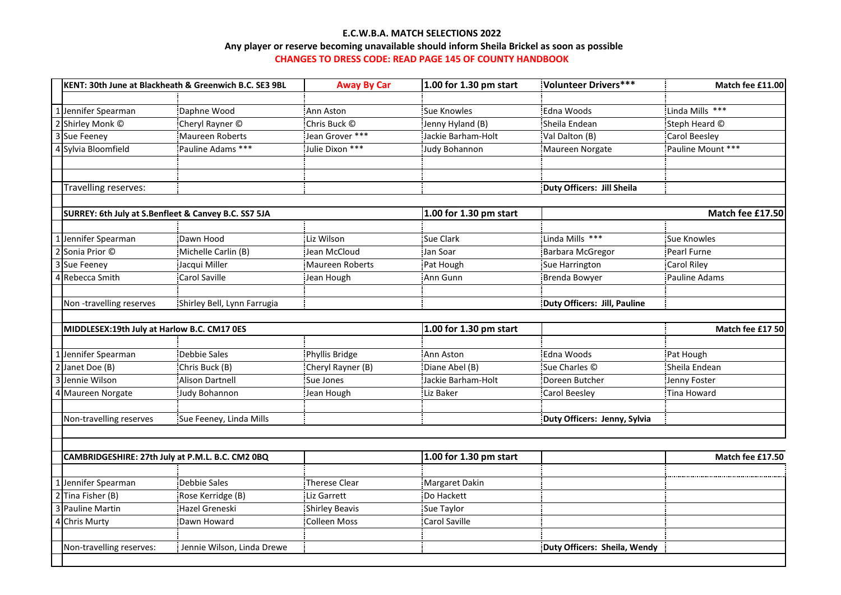## **E.C.W.B.A. MATCH SELECTIONS 2022 CHANGES TO DRESS CODE: READ PAGE 145 OF COUNTY HANDBOOK Any player or reserve becoming unavailable should inform Sheila Brickel as soon as possible**

|                                                                                                                                                              | KENT: 30th June at Blackheath & Greenwich B.C. SE3 9BL                                           | <b>Away By Car</b>                                                                  | 1.00 for 1.30 pm start                                                                | Volunteer Drivers***         | Match fee £11.00     |  |
|--------------------------------------------------------------------------------------------------------------------------------------------------------------|--------------------------------------------------------------------------------------------------|-------------------------------------------------------------------------------------|---------------------------------------------------------------------------------------|------------------------------|----------------------|--|
|                                                                                                                                                              |                                                                                                  |                                                                                     |                                                                                       |                              |                      |  |
| Jennifer Spearman                                                                                                                                            | Daphne Wood                                                                                      | Ann Aston                                                                           | <b>Sue Knowles</b>                                                                    | Edna Woods                   | Linda Mills ***      |  |
| Shirley Monk ©                                                                                                                                               | Cheryl Rayner ©                                                                                  | Chris Buck ©                                                                        | Jenny Hyland (B)                                                                      | Sheila Endean                | Steph Heard ©        |  |
| 3<br>Sue Feeney                                                                                                                                              | Maureen Roberts                                                                                  | Jean Grover ***                                                                     | Jackie Barham-Holt                                                                    | Val Dalton (B)               | <b>Carol Beesley</b> |  |
| Sylvia Bloomfield                                                                                                                                            | Pauline Adams ***                                                                                | Julie Dixon ***                                                                     | Judy Bohannon                                                                         | Maureen Norgate              | Pauline Mount ***    |  |
|                                                                                                                                                              |                                                                                                  |                                                                                     |                                                                                       |                              |                      |  |
|                                                                                                                                                              |                                                                                                  |                                                                                     |                                                                                       |                              |                      |  |
| Travelling reserves:                                                                                                                                         |                                                                                                  |                                                                                     |                                                                                       | Duty Officers: Jill Sheila   |                      |  |
|                                                                                                                                                              | SURREY: 6th July at S.Benfleet & Canvey B.C. SS7 5JA                                             |                                                                                     | 1.00 for 1.30 pm start                                                                |                              | Match fee £17.50     |  |
|                                                                                                                                                              |                                                                                                  |                                                                                     |                                                                                       |                              |                      |  |
| Jennifer Spearman                                                                                                                                            | Dawn Hood                                                                                        | Liz Wilson                                                                          | Sue Clark                                                                             | Linda Mills ***              | Sue Knowles          |  |
| 2 Sonia Prior ©                                                                                                                                              | Michelle Carlin (B)                                                                              | Jean McCloud                                                                        | Jan Soar                                                                              | Barbara McGregor             | Pearl Furne          |  |
| Sue Feeney                                                                                                                                                   | Jacqui Miller                                                                                    | Maureen Roberts                                                                     | Pat Hough                                                                             | Sue Harrington               | <b>Carol Riley</b>   |  |
| 4<br>Rebecca Smith                                                                                                                                           | <b>Carol Saville</b>                                                                             | Jean Hough                                                                          | Ann Gunn                                                                              | Brenda Bowyer                | Pauline Adams        |  |
|                                                                                                                                                              |                                                                                                  |                                                                                     |                                                                                       |                              |                      |  |
| Non-travelling reserves                                                                                                                                      | Shirley Bell, Lynn Farrugia                                                                      |                                                                                     |                                                                                       | Duty Officers: Jill, Pauline |                      |  |
|                                                                                                                                                              |                                                                                                  |                                                                                     |                                                                                       |                              |                      |  |
| MIDDLESEX:19th July at Harlow B.C. CM17 0ES                                                                                                                  |                                                                                                  |                                                                                     | 1.00 for 1.30 pm start                                                                |                              | Match fee £17 50     |  |
|                                                                                                                                                              |                                                                                                  |                                                                                     |                                                                                       |                              |                      |  |
| Jennifer Spearman                                                                                                                                            | Debbie Sales                                                                                     | Phyllis Bridge                                                                      | Ann Aston                                                                             | Edna Woods                   | Pat Hough            |  |
| Janet Doe (B)                                                                                                                                                | Chris Buck (B)                                                                                   | Cheryl Rayner (B)                                                                   | Diane Abel (B)                                                                        | Sue Charles ©                | Sheila Endean        |  |
| Jennie Wilson                                                                                                                                                | <b>Alison Dartnell</b>                                                                           | Sue Jones                                                                           | Jackie Barham-Holt                                                                    | Doreen Butcher               | Jenny Foster         |  |
| Maureen Norgate                                                                                                                                              | Judy Bohannon                                                                                    | Jean Hough                                                                          | Liz Baker                                                                             | <b>Carol Beesley</b>         | Tina Howard          |  |
|                                                                                                                                                              |                                                                                                  |                                                                                     |                                                                                       |                              |                      |  |
| Non-travelling reserves                                                                                                                                      | Sue Feeney, Linda Mills                                                                          |                                                                                     |                                                                                       | Duty Officers: Jenny, Sylvia |                      |  |
|                                                                                                                                                              |                                                                                                  |                                                                                     |                                                                                       |                              |                      |  |
|                                                                                                                                                              |                                                                                                  |                                                                                     |                                                                                       |                              |                      |  |
|                                                                                                                                                              |                                                                                                  |                                                                                     |                                                                                       |                              | Match fee £17.50     |  |
|                                                                                                                                                              |                                                                                                  |                                                                                     |                                                                                       |                              |                      |  |
|                                                                                                                                                              |                                                                                                  |                                                                                     |                                                                                       |                              |                      |  |
|                                                                                                                                                              |                                                                                                  |                                                                                     |                                                                                       |                              |                      |  |
|                                                                                                                                                              |                                                                                                  |                                                                                     |                                                                                       |                              |                      |  |
|                                                                                                                                                              |                                                                                                  |                                                                                     |                                                                                       |                              |                      |  |
|                                                                                                                                                              |                                                                                                  |                                                                                     |                                                                                       |                              |                      |  |
|                                                                                                                                                              |                                                                                                  |                                                                                     |                                                                                       |                              |                      |  |
| CAMBRIDGESHIRE: 27th July at P.M.L. B.C. CM2 0BQ<br>Jennifer Spearman<br>Tina Fisher (B)<br>Pauline Martin<br><b>Chris Murty</b><br>Non-travelling reserves: | Debbie Sales<br>Rose Kerridge (B)<br>Hazel Greneski<br>Dawn Howard<br>Jennie Wilson, Linda Drewe | <b>Therese Clear</b><br>Liz Garrett<br><b>Shirley Beavis</b><br><b>Colleen Moss</b> | 1.00 for 1.30 pm start<br>Margaret Dakin<br>Do Hackett<br>Sue Taylor<br>Carol Saville | Duty Officers: Sheila, Wendy |                      |  |